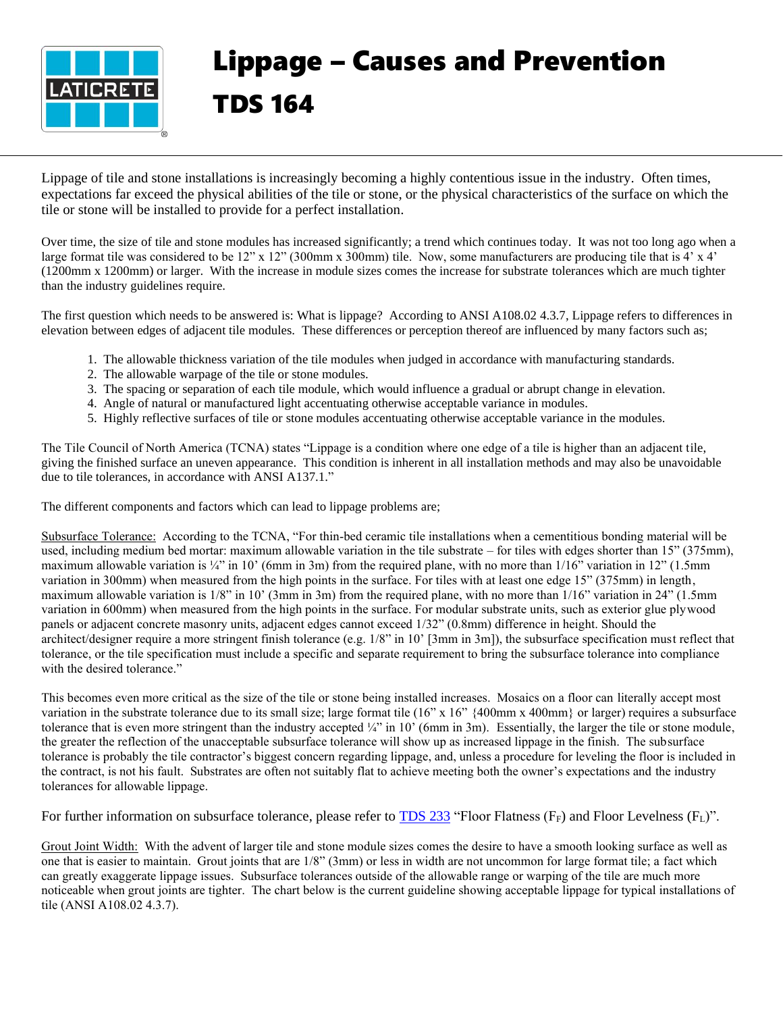

## Lippage – Causes and Prevention TDS 164

Lippage of tile and stone installations is increasingly becoming a highly contentious issue in the industry. Often times, expectations far exceed the physical abilities of the tile or stone, or the physical characteristics of the surface on which the tile or stone will be installed to provide for a perfect installation.

Over time, the size of tile and stone modules has increased significantly; a trend which continues today. It was not too long ago when a large format tile was considered to be  $12$ " x  $12$ " (300mm x 300mm) tile. Now, some manufacturers are producing tile that is 4' x 4' (1200mm x 1200mm) or larger. With the increase in module sizes comes the increase for substrate tolerances which are much tighter than the industry guidelines require.

The first question which needs to be answered is: What is lippage? According to ANSI A108.02 4.3.7, Lippage refers to differences in elevation between edges of adjacent tile modules. These differences or perception thereof are influenced by many factors such as;

- 1. The allowable thickness variation of the tile modules when judged in accordance with manufacturing standards.
- 2. The allowable warpage of the tile or stone modules.
- 3. The spacing or separation of each tile module, which would influence a gradual or abrupt change in elevation.
- 4. Angle of natural or manufactured light accentuating otherwise acceptable variance in modules.
- 5. Highly reflective surfaces of tile or stone modules accentuating otherwise acceptable variance in the modules.

The Tile Council of North America (TCNA) states "Lippage is a condition where one edge of a tile is higher than an adjacent tile, giving the finished surface an uneven appearance. This condition is inherent in all installation methods and may also be unavoidable due to tile tolerances, in accordance with ANSI A137.1."

The different components and factors which can lead to lippage problems are;

Subsurface Tolerance: According to the TCNA, "For thin-bed ceramic tile installations when a cementitious bonding material will be used, including medium bed mortar: maximum allowable variation in the tile substrate – for tiles with edges shorter than  $15$ " (375mm), maximum allowable variation is  $\frac{1}{4}$ " in 10' (6mm in 3m) from the required plane, with no more than 1/16" variation in 12" (1.5mm) variation in 300mm) when measured from the high points in the surface. For tiles with at least one edge 15" (375mm) in length, maximum allowable variation is 1/8" in 10' (3mm in 3m) from the required plane, with no more than 1/16" variation in 24" (1.5mm variation in 600mm) when measured from the high points in the surface. For modular substrate units, such as exterior glue plywood panels or adjacent concrete masonry units, adjacent edges cannot exceed 1/32" (0.8mm) difference in height. Should the architect/designer require a more stringent finish tolerance (e.g.  $1/8$ " in  $10'$  [3mm in 3m]), the subsurface specification must reflect that tolerance, or the tile specification must include a specific and separate requirement to bring the subsurface tolerance into compliance with the desired tolerance."

This becomes even more critical as the size of the tile or stone being installed increases. Mosaics on a floor can literally accept most variation in the substrate tolerance due to its small size; large format tile  $(16" \times 16"$  {400mm x 400mm} or larger) requires a subsurface tolerance that is even more stringent than the industry accepted  $\frac{1}{4}$ " in 10' (6mm in 3m). Essentially, the larger the tile or stone module, the greater the reflection of the unacceptable subsurface tolerance will show up as increased lippage in the finish. The subsurface tolerance is probably the tile contractor's biggest concern regarding lippage, and, unless a procedure for leveling the floor is included in the contract, is not his fault. Substrates are often not suitably flat to achieve meeting both the owner's expectations and the industry tolerances for allowable lippage.

For further information on subsurface tolerance, please refer to  $TDS 233$  "Floor Flatness ( $F_F$ ) and Floor Levelness ( $F_L$ )".

Grout Joint Width: With the advent of larger tile and stone module sizes comes the desire to have a smooth looking surface as well as one that is easier to maintain. Grout joints that are 1/8" (3mm) or less in width are not uncommon for large format tile; a fact which can greatly exaggerate lippage issues. Subsurface tolerances outside of the allowable range or warping of the tile are much more noticeable when grout joints are tighter. The chart below is the current guideline showing acceptable lippage for typical installations of tile (ANSI A108.02 4.3.7).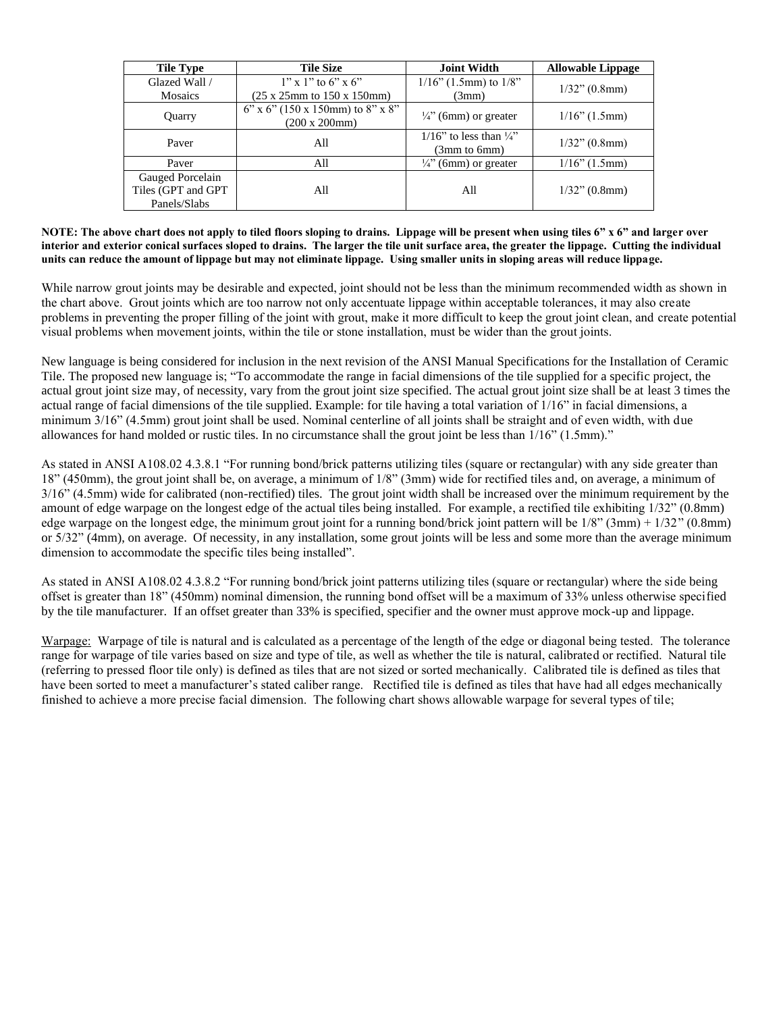| <b>Tile Type</b>                                       | <b>Tile Size</b>                                         | <b>Joint Width</b>                                         | <b>Allowable Lippage</b> |  |
|--------------------------------------------------------|----------------------------------------------------------|------------------------------------------------------------|--------------------------|--|
| Glazed Wall /                                          | $1''$ x 1" to 6" x 6"                                    | $1/16$ " (1.5mm) to $1/8$ "                                | $1/32$ " (0.8mm)         |  |
| <b>Mosaics</b>                                         | $(25 \times 25)$ mm to $150 \times 150$ mm)              | (3mm)                                                      |                          |  |
| Quarry                                                 | $6''$ x $6''$ (150 x 150mm) to 8" x 8"<br>(200 x 200 mm) | $\frac{1}{4}$ (6mm) or greater                             |                          |  |
| Paver                                                  | All                                                      | $1/16$ " to less than $\frac{1}{4}$ "<br>$(3mm)$ to $6mm)$ | $1/32$ " (0.8mm)         |  |
| Paver                                                  | All                                                      | $\frac{1}{4}$ " (6mm) or greater                           | $1/16$ " (1.5mm)         |  |
| Gauged Porcelain<br>Tiles (GPT and GPT<br>Panels/Slabs | All                                                      | All                                                        | $1/32$ " (0.8mm)         |  |

**NOTE: The above chart does not apply to tiled floors sloping to drains. Lippage will be present when using tiles 6" x 6" and larger over interior and exterior conical surfaces sloped to drains. The larger the tile unit surface area, the greater the lippage. Cutting the individual units can reduce the amount of lippage but may not eliminate lippage. Using smaller units in sloping areas will reduce lippage.**

While narrow grout joints may be desirable and expected, joint should not be less than the minimum recommended width as shown in the chart above. Grout joints which are too narrow not only accentuate lippage within acceptable tolerances, it may also create problems in preventing the proper filling of the joint with grout, make it more difficult to keep the grout joint clean, and create potential visual problems when movement joints, within the tile or stone installation, must be wider than the grout joints.

New language is being considered for inclusion in the next revision of the ANSI Manual Specifications for the Installation of Ceramic Tile. The proposed new language is; "To accommodate the range in facial dimensions of the tile supplied for a specific project, the actual grout joint size may, of necessity, vary from the grout joint size specified. The actual grout joint size shall be at least 3 times the actual range of facial dimensions of the tile supplied. Example: for tile having a total variation of 1/16" in facial dimensions, a minimum 3/16" (4.5mm) grout joint shall be used. Nominal centerline of all joints shall be straight and of even width, with due allowances for hand molded or rustic tiles. In no circumstance shall the grout joint be less than 1/16" (1.5mm)."

As stated in ANSI A108.02 4.3.8.1 "For running bond/brick patterns utilizing tiles (square or rectangular) with any side greater than 18" (450mm), the grout joint shall be, on average, a minimum of 1/8" (3mm) wide for rectified tiles and, on average, a minimum of 3/16" (4.5mm) wide for calibrated (non-rectified) tiles. The grout joint width shall be increased over the minimum requirement by the amount of edge warpage on the longest edge of the actual tiles being installed. For example, a rectified tile exhibiting 1/32" (0.8mm) edge warpage on the longest edge, the minimum grout joint for a running bond/brick joint pattern will be  $1/8$ " (3mm) +  $1/32$ " (0.8mm) or 5/32" (4mm), on average. Of necessity, in any installation, some grout joints will be less and some more than the average minimum dimension to accommodate the specific tiles being installed".

As stated in ANSI A108.02 4.3.8.2 "For running bond/brick joint patterns utilizing tiles (square or rectangular) where the side being offset is greater than 18" (450mm) nominal dimension, the running bond offset will be a maximum of 33% unless otherwise specified by the tile manufacturer. If an offset greater than 33% is specified, specifier and the owner must approve mock-up and lippage.

Warpage: Warpage of tile is natural and is calculated as a percentage of the length of the edge or diagonal being tested. The tolerance range for warpage of tile varies based on size and type of tile, as well as whether the tile is natural, calibrated or rectified. Natural tile (referring to pressed floor tile only) is defined as tiles that are not sized or sorted mechanically. Calibrated tile is defined as tiles that have been sorted to meet a manufacturer's stated caliber range. Rectified tile is defined as tiles that have had all edges mechanically finished to achieve a more precise facial dimension. The following chart shows allowable warpage for several types of tile;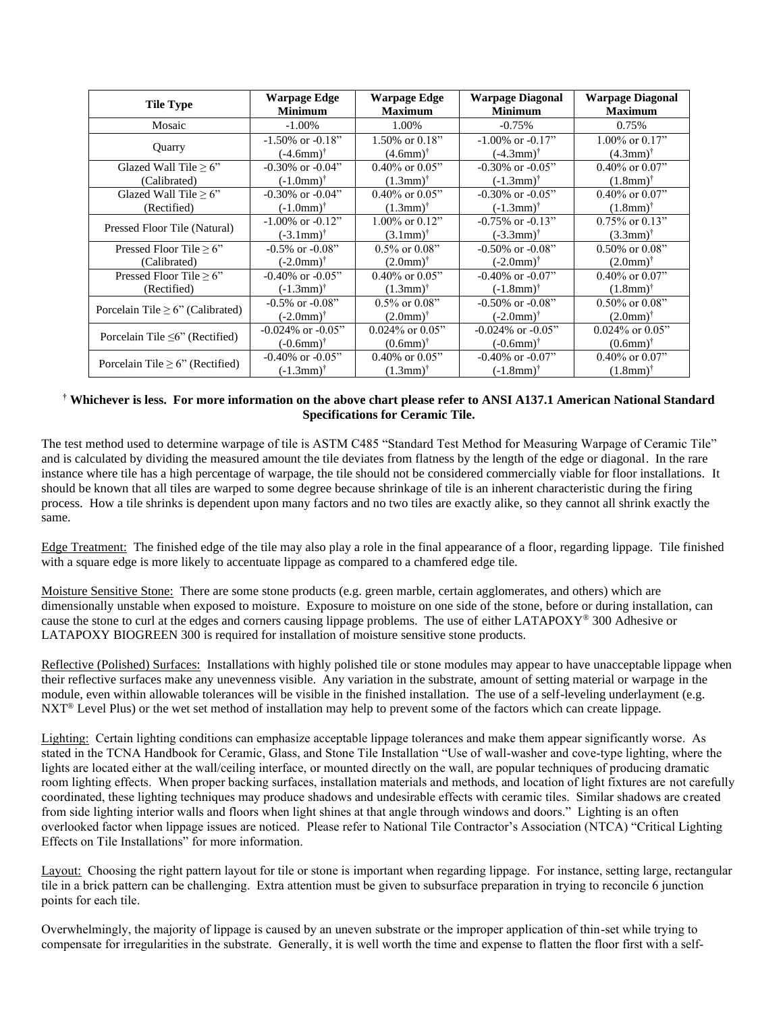| <b>Tile Type</b>                       | Warpage Edge                | Warpage Edge                | <b>Warpage Diagonal</b>  | <b>Warpage Diagonal</b>     |
|----------------------------------------|-----------------------------|-----------------------------|--------------------------|-----------------------------|
|                                        | <b>Minimum</b>              | <b>Maximum</b>              | <b>Minimum</b>           | <b>Maximum</b>              |
| Mosaic                                 | $-1.00\%$                   | 1.00%                       | $-0.75%$                 | 0.75%                       |
| Quarry                                 | $-1.50\%$ or $-0.18$ "      | 1.50% or $0.18"$            | $-1.00\%$ or $-0.17$ "   | $1.00\%$ or $0.17$ "        |
|                                        | $(-4.6$ mm) <sup>†</sup>    | $(4.6$ mm $)$ <sup>†</sup>  | $(-4.3$ mm)†             | $(4.3mm)^{\dagger}$         |
| Glazed Wall Tile $\geq 6$ "            | $-0.30\%$ or $-0.04$ "      | $0.40\%$ or $0.05"$         | $-0.30\%$ or $-0.05$ "   | $0.40\%$ or $0.07$ "        |
| (Calibrated)                           | $(-1.0$ mm) <sup>†</sup>    | $(1.3$ mm) <sup>†</sup>     | $(-1.3$ mm) <sup>†</sup> | $(1.8$ mm) <sup>†</sup>     |
| Glazed Wall Tile $\geq 6$ "            | $-0.30\%$ or $-0.04$ "      | $0.40\%$ or $0.05"$         | $-0.30\%$ or $-0.05$ "   | $0.40\%$ or $0.07$ "        |
| (Rectified)                            | $(-1.0$ mm $)$ <sup>†</sup> | $(1.3$ mm) <sup>†</sup>     | $(-1.3$ mm) <sup>†</sup> | $(1.8$ mm $)$ <sup>†</sup>  |
| Pressed Floor Tile (Natural)           | $-1.00\%$ or $-0.12$ "      | $1.00\%$ or $0.12"$         | $-0.75\%$ or $-0.13"$    | $0.75\%$ or $0.13"$         |
|                                        | $(-3.1$ mm $)^{\dagger}$    | $(3.1$ mm $)$ <sup>†</sup>  | $(-3.3$ mm)†             | $(3.3mm)^{\dagger}$         |
| Pressed Floor Tile $\geq 6$ "          | $-0.5\%$ or $-0.08$ "       | $0.5\%$ or $0.08$ "         | $-0.50\%$ or $-0.08$ "   | $0.50\%$ or $0.08$ "        |
| (Calibrated)                           | $(-2.0$ mm $)$ <sup>†</sup> | $(2.0 \text{mm})^{\dagger}$ | $(-2.0$ mm) <sup>†</sup> | $(2.0 \text{mm})^{\dagger}$ |
| Pressed Floor Tile $\geq 6$ "          | $-0.40\%$ or $-0.05$ "      | $0.40\%$ or $0.05"$         | $-0.40\%$ or $-0.07$ "   | $0.40\%$ or $0.07$ "        |
| (Rectified)                            | $(-1.3$ mm) <sup>†</sup>    | $(1.3mm)^{\dagger}$         | $(-1.8$ mm) <sup>†</sup> | $(1.8$ mm) <sup>†</sup>     |
| Porcelain Tile $\geq 6$ " (Calibrated) | $-0.5\%$ or $-0.08$ "       | $0.5\%$ or $0.08$ "         | $-0.50\%$ or $-0.08$ "   | $0.50\%$ or $0.08$ "        |
|                                        | $(-2.0$ mm $)$ <sup>†</sup> | $(2.0 \text{mm})^{\dagger}$ | $(-2.0$ mm)†             | $(2.0 \text{mm})^{\dagger}$ |
| Porcelain Tile $\leq 6$ " (Rectified)  | $-0.024\%$ or $-0.05$ "     | $0.024\%$ or $0.05"$        | $-0.024\%$ or $-0.05$ "  | $0.024\%$ or $0.05"$        |
|                                        | $(-0.6$ mm $)$ <sup>†</sup> | $(0.6$ mm $)$ <sup>†</sup>  | $(-0.6$ mm) <sup>†</sup> | $(0.6$ mm $)$ <sup>†</sup>  |
| Porcelain Tile $\geq 6$ " (Rectified)  | $-0.40\%$ or $-0.05$ "      | $0.40\%$ or $0.05$ "        | $-0.40\%$ or $-0.07$ "   | $0.40\%$ or $0.07$ "        |
|                                        | $(-1.3$ mm) <sup>†</sup>    | $(1.3$ mm) <sup>†</sup>     | $(-1.8$ mm) <sup>†</sup> | $(1.8$ mm) <sup>†</sup>     |

## **† Whichever is less. For more information on the above chart please refer to ANSI A137.1 American National Standard Specifications for Ceramic Tile.**

The test method used to determine warpage of tile is ASTM C485 "Standard Test Method for Measuring Warpage of Ceramic Tile" and is calculated by dividing the measured amount the tile deviates from flatness by the length of the edge or diagonal. In the rare instance where tile has a high percentage of warpage, the tile should not be considered commercially viable for floor installations. It should be known that all tiles are warped to some degree because shrinkage of tile is an inherent characteristic during the firing process. How a tile shrinks is dependent upon many factors and no two tiles are exactly alike, so they cannot all shrink exactly the same.

Edge Treatment: The finished edge of the tile may also play a role in the final appearance of a floor, regarding lippage. Tile finished with a square edge is more likely to accentuate lippage as compared to a chamfered edge tile.

Moisture Sensitive Stone: There are some stone products (e.g. green marble, certain agglomerates, and others) which are dimensionally unstable when exposed to moisture. Exposure to moisture on one side of the stone, before or during installation, can cause the stone to curl at the edges and corners causing lippage problems. The use of either LATAPOXY® 300 Adhesive or LATAPOXY BIOGREEN 300 is required for installation of moisture sensitive stone products.

Reflective (Polished) Surfaces: Installations with highly polished tile or stone modules may appear to have unacceptable lippage when their reflective surfaces make any unevenness visible. Any variation in the substrate, amount of setting material or warpage in the module, even within allowable tolerances will be visible in the finished installation. The use of a self-leveling underlayment (e.g. NXT® Level Plus) or the wet set method of installation may help to prevent some of the factors which can create lippage.

Lighting: Certain lighting conditions can emphasize acceptable lippage tolerances and make them appear significantly worse. As stated in the TCNA Handbook for Ceramic, Glass, and Stone Tile Installation "Use of wall-washer and cove-type lighting, where the lights are located either at the wall/ceiling interface, or mounted directly on the wall, are popular techniques of producing dramatic room lighting effects. When proper backing surfaces, installation materials and methods, and location of light fixtures are not carefully coordinated, these lighting techniques may produce shadows and undesirable effects with ceramic tiles. Similar shadows are created from side lighting interior walls and floors when light shines at that angle through windows and doors." Lighting is an often overlooked factor when lippage issues are noticed. Please refer to National Tile Contractor's Association (NTCA) "Critical Lighting Effects on Tile Installations" for more information.

Layout: Choosing the right pattern layout for tile or stone is important when regarding lippage. For instance, setting large, rectangular tile in a brick pattern can be challenging. Extra attention must be given to subsurface preparation in trying to reconcile 6 junction points for each tile.

Overwhelmingly, the majority of lippage is caused by an uneven substrate or the improper application of thin-set while trying to compensate for irregularities in the substrate. Generally, it is well worth the time and expense to flatten the floor first with a self